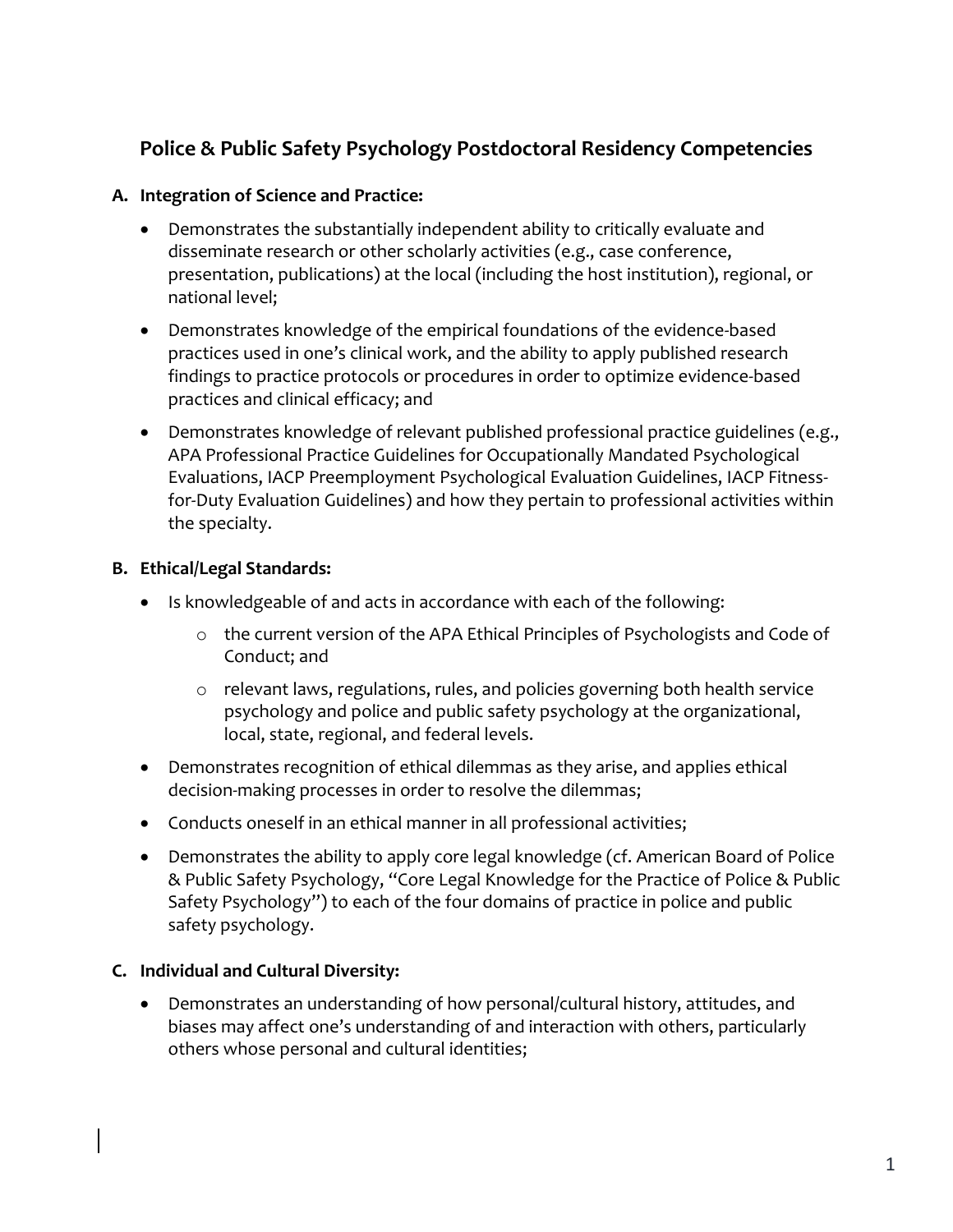# **Police & Public Safety Psychology Postdoctoral Residency Competencies**

### **A. Integration of Science and Practice:**

- Demonstrates the substantially independent ability to critically evaluate and disseminate research or other scholarly activities (e.g., case conference, presentation, publications) at the local (including the host institution), regional, or national level;
- Demonstrates knowledge of the empirical foundations of the evidence-based practices used in one's clinical work, and the ability to apply published research findings to practice protocols or procedures in order to optimize evidence-based practices and clinical efficacy; and
- Demonstrates knowledge of relevant published professional practice guidelines (e.g., APA Professional Practice Guidelines for Occupationally Mandated Psychological Evaluations, IACP Preemployment Psychological Evaluation Guidelines, IACP Fitnessfor-Duty Evaluation Guidelines) and how they pertain to professional activities within the specialty.

## **B. Ethical/Legal Standards:**

- Is knowledgeable of and acts in accordance with each of the following:
	- o the current version of the APA Ethical Principles of Psychologists and Code of Conduct; and
	- $\circ$  relevant laws, regulations, rules, and policies governing both health service psychology and police and public safety psychology at the organizational, local, state, regional, and federal levels.
- Demonstrates recognition of ethical dilemmas as they arise, and applies ethical decision-making processes in order to resolve the dilemmas;
- Conducts oneself in an ethical manner in all professional activities;
- Demonstrates the ability to apply core legal knowledge (cf. American Board of Police & Public Safety Psychology, "Core Legal Knowledge for the Practice of Police & Public Safety Psychology") to each of the four domains of practice in police and public safety psychology.

### **C. Individual and Cultural Diversity:**

 Demonstrates an understanding of how personal/cultural history, attitudes, and biases may affect one's understanding of and interaction with others, particularly others whose personal and cultural identities;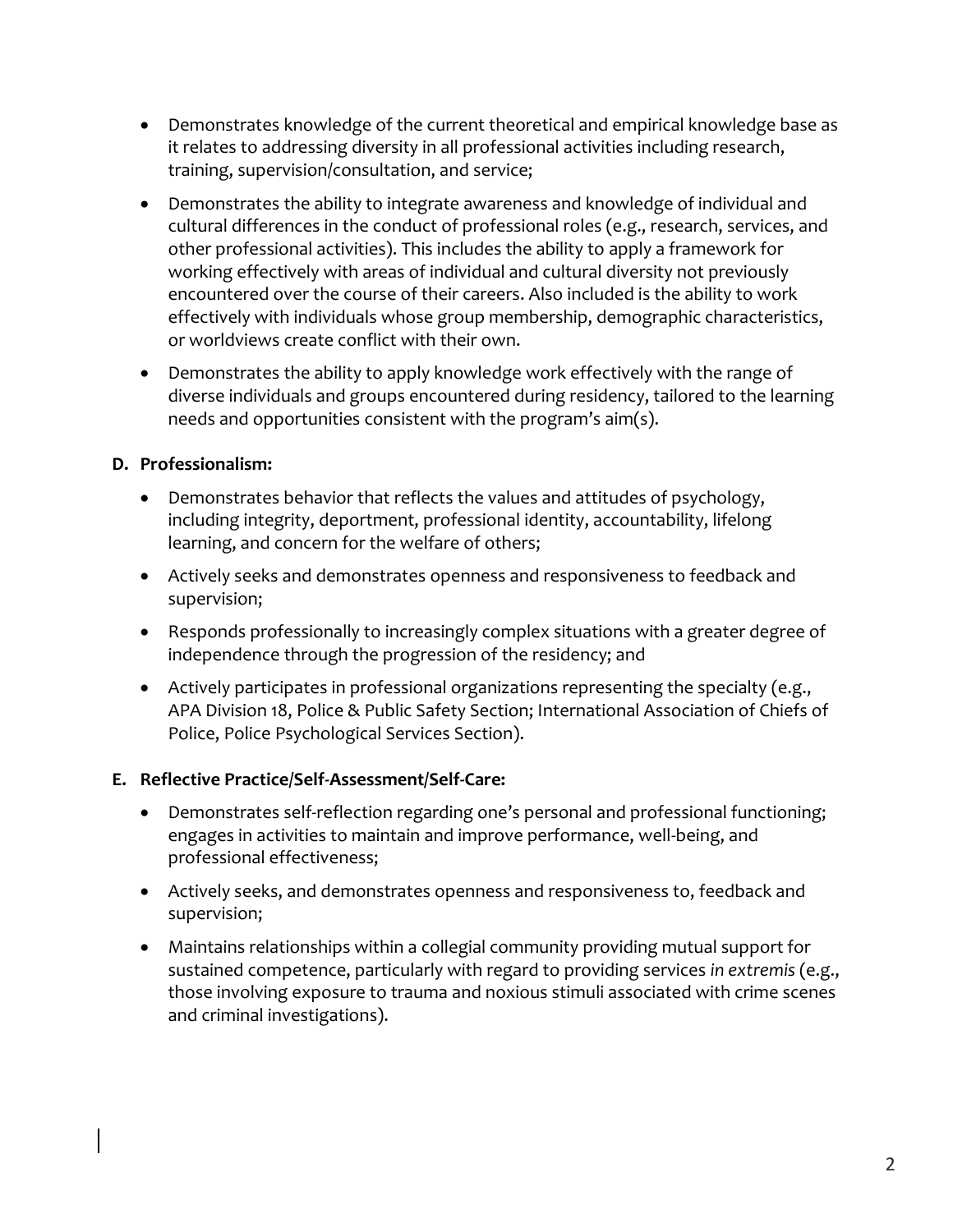- Demonstrates knowledge of the current theoretical and empirical knowledge base as it relates to addressing diversity in all professional activities including research, training, supervision/consultation, and service;
- Demonstrates the ability to integrate awareness and knowledge of individual and cultural differences in the conduct of professional roles (e.g., research, services, and other professional activities). This includes the ability to apply a framework for working effectively with areas of individual and cultural diversity not previously encountered over the course of their careers. Also included is the ability to work effectively with individuals whose group membership, demographic characteristics, or worldviews create conflict with their own.
- Demonstrates the ability to apply knowledge work effectively with the range of diverse individuals and groups encountered during residency, tailored to the learning needs and opportunities consistent with the program's aim(s).

## **D. Professionalism:**

- Demonstrates behavior that reflects the values and attitudes of psychology, including integrity, deportment, professional identity, accountability, lifelong learning, and concern for the welfare of others;
- Actively seeks and demonstrates openness and responsiveness to feedback and supervision;
- Responds professionally to increasingly complex situations with a greater degree of independence through the progression of the residency; and
- Actively participates in professional organizations representing the specialty (e.g., APA Division 18, Police & Public Safety Section; International Association of Chiefs of Police, Police Psychological Services Section).

# **E. Reflective Practice/Self-Assessment/Self-Care:**

- Demonstrates self-reflection regarding one's personal and professional functioning; engages in activities to maintain and improve performance, well-being, and professional effectiveness;
- Actively seeks, and demonstrates openness and responsiveness to, feedback and supervision;
- Maintains relationships within a collegial community providing mutual support for sustained competence, particularly with regard to providing services *in extremis* (e.g., those involving exposure to trauma and noxious stimuli associated with crime scenes and criminal investigations).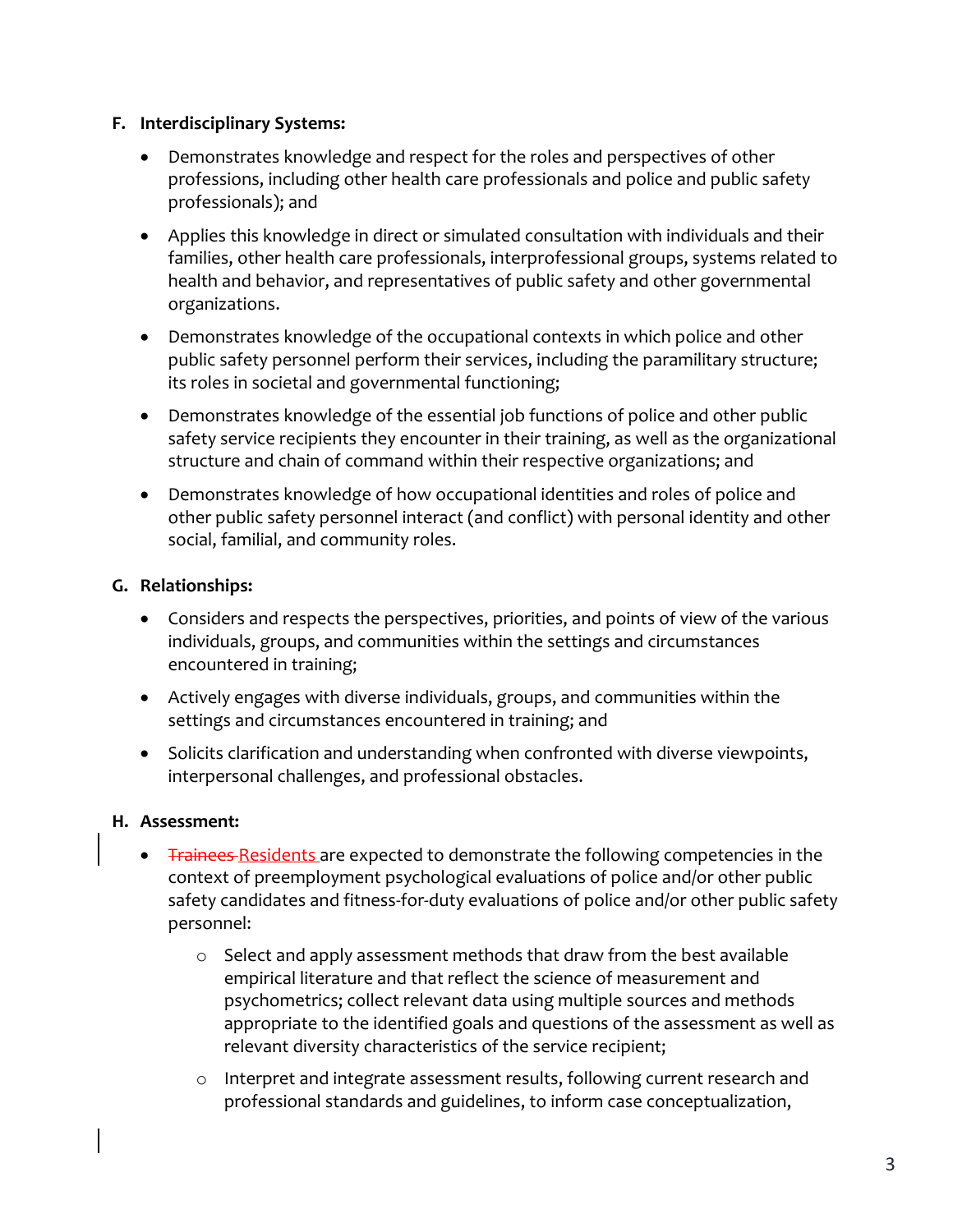#### **F. Interdisciplinary Systems:**

- Demonstrates knowledge and respect for the roles and perspectives of other professions, including other health care professionals and police and public safety professionals); and
- Applies this knowledge in direct or simulated consultation with individuals and their families, other health care professionals, interprofessional groups, systems related to health and behavior, and representatives of public safety and other governmental organizations.
- Demonstrates knowledge of the occupational contexts in which police and other public safety personnel perform their services, including the paramilitary structure; its roles in societal and governmental functioning;
- Demonstrates knowledge of the essential job functions of police and other public safety service recipients they encounter in their training, as well as the organizational structure and chain of command within their respective organizations; and
- Demonstrates knowledge of how occupational identities and roles of police and other public safety personnel interact (and conflict) with personal identity and other social, familial, and community roles.

### **G. Relationships:**

- Considers and respects the perspectives, priorities, and points of view of the various individuals, groups, and communities within the settings and circumstances encountered in training;
- Actively engages with diverse individuals, groups, and communities within the settings and circumstances encountered in training; and
- Solicits clarification and understanding when confronted with diverse viewpoints, interpersonal challenges, and professional obstacles.

### **H. Assessment:**

- **Trainees-Residents are expected to demonstrate the following competencies in the** context of preemployment psychological evaluations of police and/or other public safety candidates and fitness-for-duty evaluations of police and/or other public safety personnel:
	- $\circ$  Select and apply assessment methods that draw from the best available empirical literature and that reflect the science of measurement and psychometrics; collect relevant data using multiple sources and methods appropriate to the identified goals and questions of the assessment as well as relevant diversity characteristics of the service recipient;
	- o Interpret and integrate assessment results, following current research and professional standards and guidelines, to inform case conceptualization,